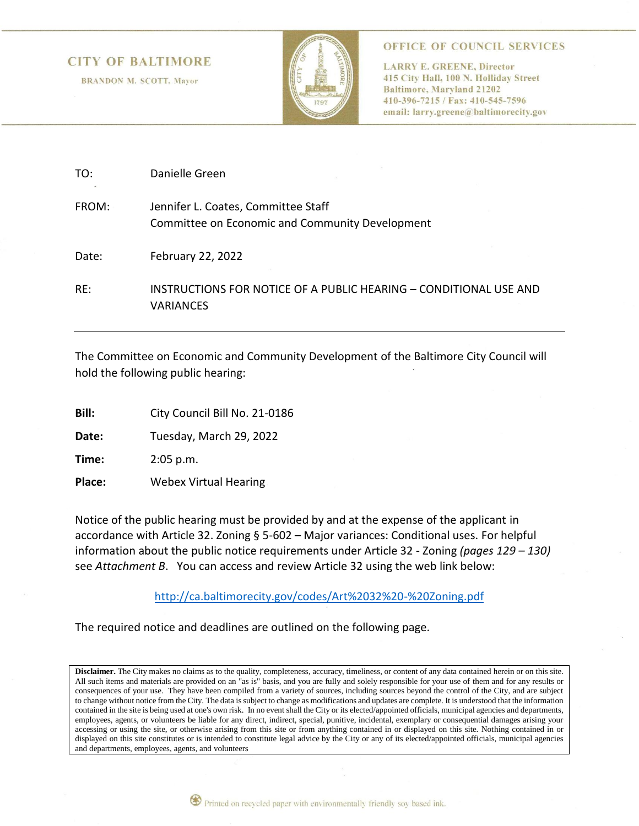#### **CITY OF BALTIMORE**

**BRANDON M. SCOTT, Mayor** 



OFFICE OF COUNCIL SERVICES

**LARRY E. GREENE, Director** 415 City Hall, 100 N. Holliday Street **Baltimore, Maryland 21202** 410-396-7215 / Fax: 410-545-7596 email: larry.greene@baltimorecity.gov

| TO:   | Danielle Green                                                                         |
|-------|----------------------------------------------------------------------------------------|
| FROM: | Jennifer L. Coates, Committee Staff<br>Committee on Economic and Community Development |
| Date: | February 22, 2022                                                                      |
| RE:   | INSTRUCTIONS FOR NOTICE OF A PUBLIC HEARING - CONDITIONAL USE AND<br><b>VARIANCES</b>  |

The Committee on Economic and Community Development of the Baltimore City Council will hold the following public hearing:

**Bill:** City Council Bill No. 21-0186

**Date:** Tuesday, March 29, 2022

**Time:** 2:05 p.m.

**Place:** Webex Virtual Hearing

Notice of the public hearing must be provided by and at the expense of the applicant in accordance with Article 32. Zoning § 5-602 – Major variances: Conditional uses. For helpful information about the public notice requirements under Article 32 - Zoning *(pages 129 – 130)* see *Attachment B*. You can access and review Article 32 using the web link below:

<http://ca.baltimorecity.gov/codes/Art%2032%20-%20Zoning.pdf>

The required notice and deadlines are outlined on the following page.

Disclaimer. The City makes no claims as to the quality, completeness, accuracy, timeliness, or content of any data contained herein or on this site. All such items and materials are provided on an "as is" basis, and you are fully and solely responsible for your use of them and for any results or consequences of your use. They have been compiled from a variety of sources, including sources beyond the control of the City, and are subject to change without notice from the City. The data is subject to change as modifications and updates are complete. It is understood that the information contained in the site is being used at one's own risk. In no event shall the City or its elected/appointed officials, municipal agencies and departments, employees, agents, or volunteers be liable for any direct, indirect, special, punitive, incidental, exemplary or consequential damages arising your accessing or using the site, or otherwise arising from this site or from anything contained in or displayed on this site. Nothing contained in or displayed on this site constitutes or is intended to constitute legal advice by the City or any of its elected/appointed officials, municipal agencies and departments, employees, agents, and volunteers

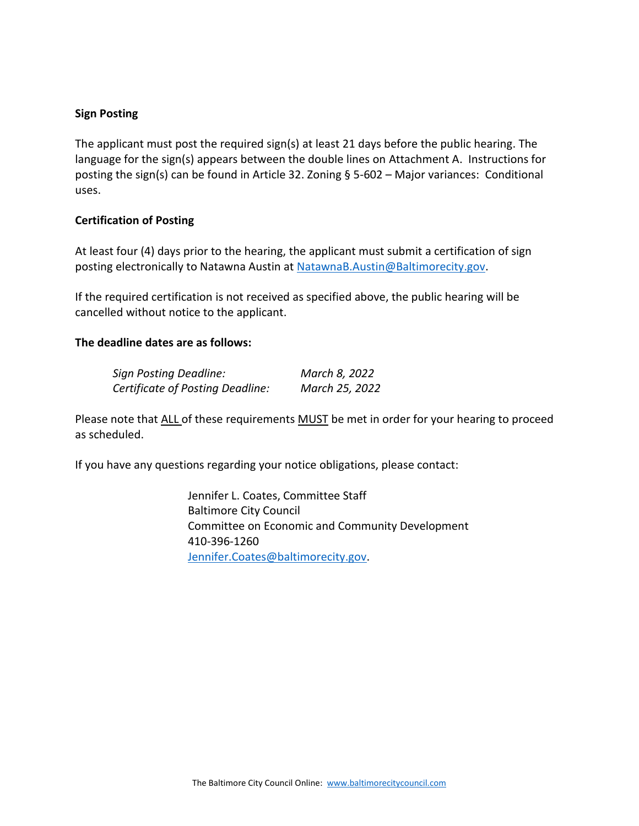### **Sign Posting**

The applicant must post the required sign(s) at least 21 days before the public hearing. The language for the sign(s) appears between the double lines on Attachment A.Instructions for posting the sign(s) can be found in Article 32. Zoning § 5-602 – Major variances: Conditional uses.

# **Certification of Posting**

At least four (4) days prior to the hearing, the applicant must submit a certification of sign posting electronically to Natawna Austin at [NatawnaB.Austin@Baltimorecity.gov.](mailto:NatawnaB.Austin@Baltimorecity.gov)

If the required certification is not received as specified above, the public hearing will be cancelled without notice to the applicant.

# **The deadline dates are as follows:**

| Sign Posting Deadline:           | March 8, 2022  |
|----------------------------------|----------------|
| Certificate of Posting Deadline: | March 25, 2022 |

Please note that ALL of these requirements MUST be met in order for your hearing to proceed as scheduled.

If you have any questions regarding your notice obligations, please contact:

Jennifer L. Coates, Committee Staff Baltimore City Council Committee on Economic and Community Development 410-396-1260 [Jennifer.Coates@baltimorecity.gov.](mailto:Jennifer.Coates@baltimorecity.gov)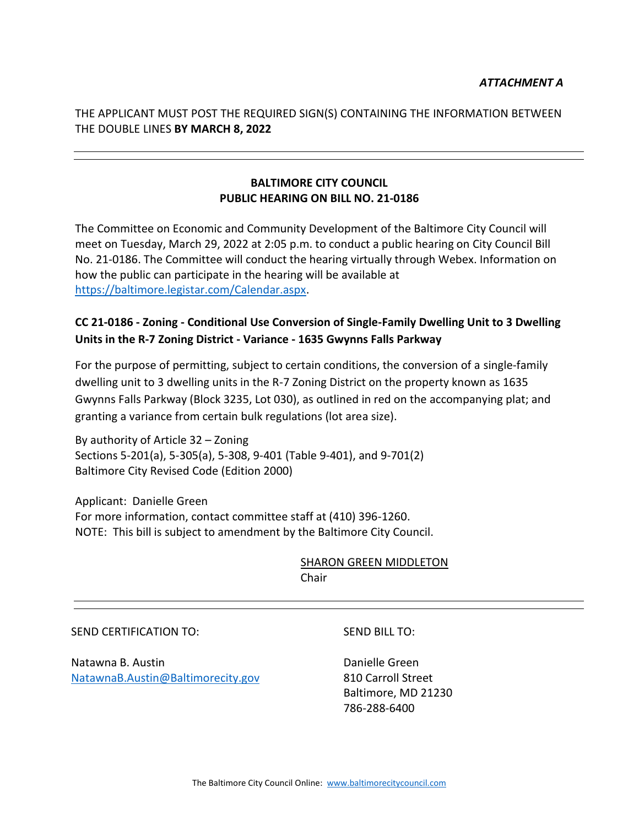THE APPLICANT MUST POST THE REQUIRED SIGN(S) CONTAINING THE INFORMATION BETWEEN THE DOUBLE LINES **BY MARCH 8, 2022**

# **BALTIMORE CITY COUNCIL PUBLIC HEARING ON BILL NO. 21-0186**

The Committee on Economic and Community Development of the Baltimore City Council will meet on Tuesday, March 29, 2022 at 2:05 p.m. to conduct a public hearing on City Council Bill No. 21-0186. The Committee will conduct the hearing virtually through Webex. Information on how the public can participate in the hearing will be available at [https://baltimore.legistar.com/Calendar.aspx.](https://baltimore.legistar.com/Calendar.aspx)

# **CC 21-0186 - Zoning - Conditional Use Conversion of Single-Family Dwelling Unit to 3 Dwelling Units in the R-7 Zoning District - Variance - 1635 Gwynns Falls Parkway**

For the purpose of permitting, subject to certain conditions, the conversion of a single-family dwelling unit to 3 dwelling units in the R-7 Zoning District on the property known as 1635 Gwynns Falls Parkway (Block 3235, Lot 030), as outlined in red on the accompanying plat; and granting a variance from certain bulk regulations (lot area size).

By authority of Article 32 – Zoning Sections 5-201(a), 5-305(a), 5-308, 9-401 (Table 9-401), and 9-701(2) Baltimore City Revised Code (Edition 2000)

Applicant: Danielle Green For more information, contact committee staff at (410) 396-1260. NOTE: This bill is subject to amendment by the Baltimore City Council.

> SHARON GREEN MIDDLETON Chair

> > SEND BILL TO:

#### SEND CERTIFICATION TO:

Natawna B. Austin [NatawnaB.Austin@Baltimorecity.gov](mailto:NatawnaB.Austin@Baltimorecity.gov) Danielle Green 810 Carroll Street Baltimore, MD 21230 786-288-6400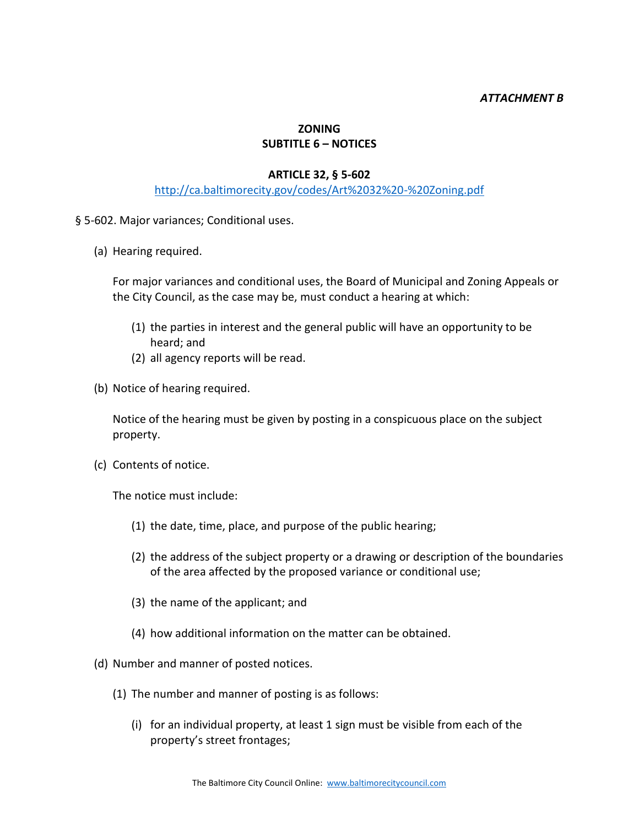### *ATTACHMENT B*

# **ZONING SUBTITLE 6 – NOTICES**

#### **ARTICLE 32, § 5-602**

# <http://ca.baltimorecity.gov/codes/Art%2032%20-%20Zoning.pdf>

§ 5-602. Major variances; Conditional uses.

(a) Hearing required.

For major variances and conditional uses, the Board of Municipal and Zoning Appeals or the City Council, as the case may be, must conduct a hearing at which:

- (1) the parties in interest and the general public will have an opportunity to be heard; and
- (2) all agency reports will be read.
- (b) Notice of hearing required.

Notice of the hearing must be given by posting in a conspicuous place on the subject property.

(c) Contents of notice.

The notice must include:

- (1) the date, time, place, and purpose of the public hearing;
- (2) the address of the subject property or a drawing or description of the boundaries of the area affected by the proposed variance or conditional use;
- (3) the name of the applicant; and
- (4) how additional information on the matter can be obtained.
- (d) Number and manner of posted notices.
	- (1) The number and manner of posting is as follows:
		- (i) for an individual property, at least 1 sign must be visible from each of the property's street frontages;